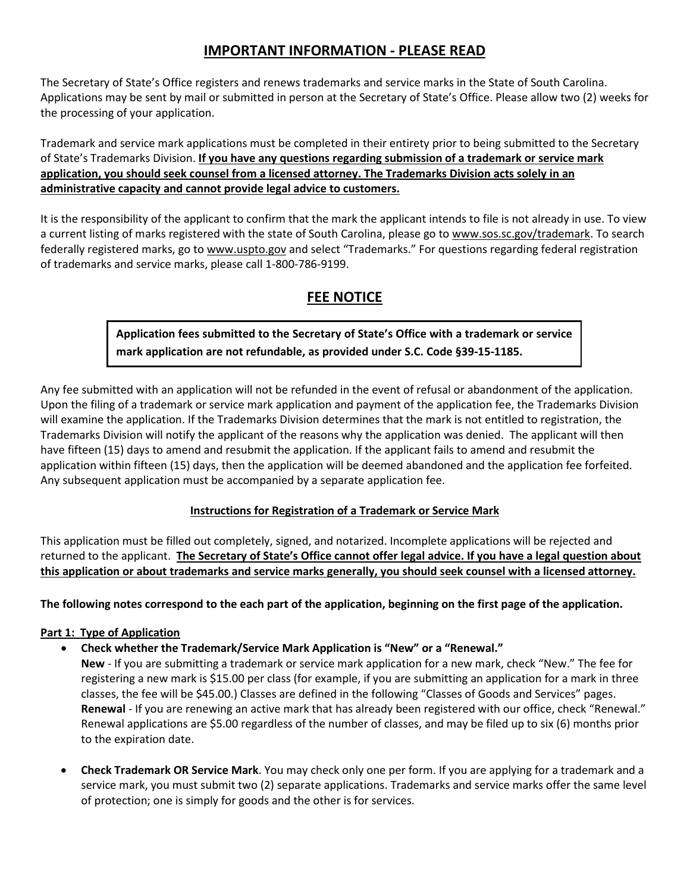# **IMPORTANT INFORMATION - PLEASE READ**

The Secretary of State's Office registers and renews trademarks and service marks in the State of South Carolina. Applications may be sent by mail or submitted in person at the Secretary of State's Office. Please allow two (2) weeks for the processing of your application.

Trademark and service mark applications must be completed in their entirety prior to being submitted to the Secretary of State's Trademarks Division. **If you have any questions regarding submission of a trademark or service mark application, you should seek counsel from a licensed attorney. The Trademarks Division acts solely in an administrative capacity and cannot provide legal advice to customers.**

It is the responsibility of the applicant to confirm that the mark the applicant intends to file is not already in use. To view a current listing of marks registered with the state of South Carolina, please go to www.sos.sc.gov/trademark. To search federally registered marks, go to www.uspto.gov and select "Trademarks." For questions regarding federal registration of trademarks and service marks, please call 1-800-786-9199.

# **FEE NOTICE**

**Application fees submitted to the Secretary of State's Office with a trademark or service mark application are not refundable, as provided under S.C. Code §39-15-1185.**

Any fee submitted with an application will not be refunded in the event of refusal or abandonment of the application. Upon the filing of a trademark or service mark application and payment of the application fee, the Trademarks Division will examine the application. If the Trademarks Division determines that the mark is not entitled to registration, the Trademarks Division will notify the applicant of the reasons why the application was denied. The applicant will then have fifteen (15) days to amend and resubmit the application. If the applicant fails to amend and resubmit the application within fifteen (15) days, then the application will be deemed abandoned and the application fee forfeited. Any subsequent application must be accompanied by a separate application fee.

# **Instructions for Registration of a Trademark or Service Mark**

This application must be filled out completely, signed, and notarized. Incomplete applications will be rejected and returned to the applicant. **The Secretary of State's Office cannot offer legal advice. If you have a legal question about this application or about trademarks and service marks generally, you should seek counsel with a licensed attorney.**

**The following notes correspond to the each part of the application, beginning on the first page of the application.**

# **Part 1: Type of Application**

- **Check whether the Trademark/Service Mark Application is "New" or a "Renewal."**
	- **New**  If you are submitting a trademark or service mark application for a new mark, check "New." The fee for registering a new mark is \$15.00 per class (for example, if you are submitting an application for a mark in three classes, the fee will be \$45.00.) Classes are defined in the following "Classes of Goods and Services" pages. **Renewal** - If you are renewing an active mark that has already been registered with our office, check "Renewal." Renewal applications are \$5.00 regardless of the number of classes, and may be filed up to six (6) months prior to the expiration date.
- **Check Trademark OR Service Mark**. You may check only one per form. If you are applying for a trademark and a service mark, you must submit two (2) separate applications. Trademarks and service marks offer the same level of protection; one is simply for goods and the other is for services.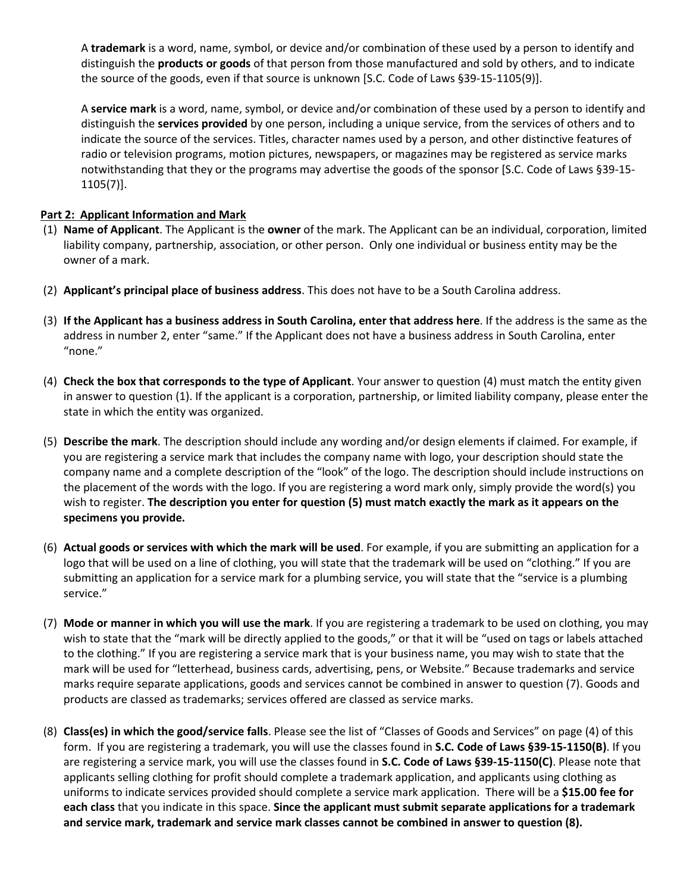A **trademark** is a word, name, symbol, or device and/or combination of these used by a person to identify and distinguish the **products or goods** of that person from those manufactured and sold by others, and to indicate the source of the goods, even if that source is unknown [S.C. Code of Laws §39-15-1105(9)].

A **service mark** is a word, name, symbol, or device and/or combination of these used by a person to identify and distinguish the **services provided** by one person, including a unique service, from the services of others and to indicate the source of the services. Titles, character names used by a person, and other distinctive features of radio or television programs, motion pictures, newspapers, or magazines may be registered as service marks notwithstanding that they or the programs may advertise the goods of the sponsor [S.C. Code of Laws §39-15- 1105(7)].

## **Part 2: Applicant Information and Mark**

- (1) **Name of Applicant**. The Applicant is the **owner** of the mark. The Applicant can be an individual, corporation, limited liability company, partnership, association, or other person. Only one individual or business entity may be the owner of a mark.
- (2) **Applicant's principal place of business address**. This does not have to be a South Carolina address.
- (3) **If the Applicant has a business address in South Carolina, enter that address here**. If the address is the same as the address in number 2, enter "same." If the Applicant does not have a business address in South Carolina, enter "none."
- (4) **Check the box that corresponds to the type of Applicant**. Your answer to question (4) must match the entity given in answer to question (1). If the applicant is a corporation, partnership, or limited liability company, please enter the state in which the entity was organized.
- (5) **Describe the mark**. The description should include any wording and/or design elements if claimed. For example, if you are registering a service mark that includes the company name with logo, your description should state the company name and a complete description of the "look" of the logo. The description should include instructions on the placement of the words with the logo. If you are registering a word mark only, simply provide the word(s) you wish to register. **The description you enter for question (5) must match exactly the mark as it appears on the specimens you provide.**
- (6) **Actual goods or services with which the mark will be used**. For example, if you are submitting an application for a logo that will be used on a line of clothing, you will state that the trademark will be used on "clothing." If you are submitting an application for a service mark for a plumbing service, you will state that the "service is a plumbing service."
- (7) **Mode or manner in which you will use the mark**. If you are registering a trademark to be used on clothing, you may wish to state that the "mark will be directly applied to the goods," or that it will be "used on tags or labels attached to the clothing." If you are registering a service mark that is your business name, you may wish to state that the mark will be used for "letterhead, business cards, advertising, pens, or Website." Because trademarks and service marks require separate applications, goods and services cannot be combined in answer to question (7). Goods and products are classed as trademarks; services offered are classed as service marks.
- (8) **Class(es) in which the good/service falls**. Please see the list of "Classes of Goods and Services" on page (4) of this form. If you are registering a trademark, you will use the classes found in **S.C. Code of Laws §39-15-1150(B)**. If you are registering a service mark, you will use the classes found in **S.C. Code of Laws §39-15-1150(C)**. Please note that applicants selling clothing for profit should complete a trademark application, and applicants using clothing as uniforms to indicate services provided should complete a service mark application. There will be a **\$15.00 fee for each class** that you indicate in this space. **Since the applicant must submit separate applications for a trademark and service mark, trademark and service mark classes cannot be combined in answer to question (8).**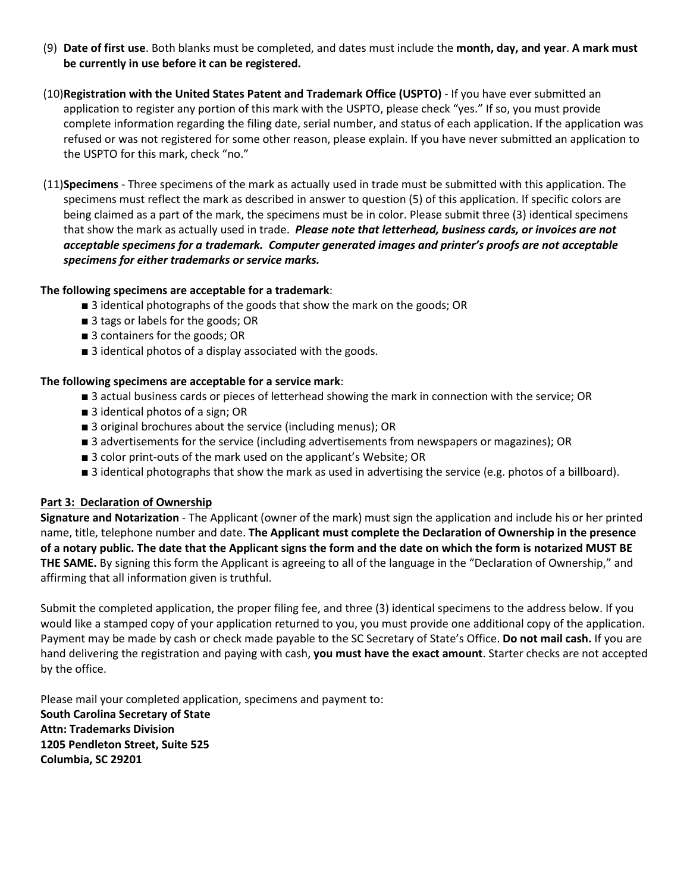- (9) **Date of first use**. Both blanks must be completed, and dates must include the **month, day, and year**. **A mark must be currently in use before it can be registered.**
- (10)**Registration with the United States Patent and Trademark Office (USPTO)**  If you have ever submitted an application to register any portion of this mark with the USPTO, please check "yes." If so, you must provide complete information regarding the filing date, serial number, and status of each application. If the application was refused or was not registered for some other reason, please explain. If you have never submitted an application to the USPTO for this mark, check "no."
- (11)**Specimens**  Three specimens of the mark as actually used in trade must be submitted with this application. The specimens must reflect the mark as described in answer to question (5) of this application. If specific colors are being claimed as a part of the mark, the specimens must be in color. Please submit three (3) identical specimens that show the mark as actually used in trade. *Please note that letterhead, business cards, or invoices are not acceptable specimens for a trademark. Computer generated images and printer's proofs are not acceptable specimens for either trademarks or service marks.*

## **The following specimens are acceptable for a trademark**:

- 3 identical photographs of the goods that show the mark on the goods; OR
- 3 tags or labels for the goods; OR
- 3 containers for the goods; OR
- 3 identical photos of a display associated with the goods.

### **The following specimens are acceptable for a service mark**:

- 3 actual business cards or pieces of letterhead showing the mark in connection with the service; OR
- 3 identical photos of a sign; OR
- 3 original brochures about the service (including menus); OR
- 3 advertisements for the service (including advertisements from newspapers or magazines); OR
- 3 color print-outs of the mark used on the applicant's Website; OR
- 3 identical photographs that show the mark as used in advertising the service (e.g. photos of a billboard).

### **Part 3: Declaration of Ownership**

**Signature and Notarization** - The Applicant (owner of the mark) must sign the application and include his or her printed name, title, telephone number and date. **The Applicant must complete the Declaration of Ownership in the presence of a notary public. The date that the Applicant signs the form and the date on which the form is notarized MUST BE THE SAME.** By signing this form the Applicant is agreeing to all of the language in the "Declaration of Ownership," and affirming that all information given is truthful.

Submit the completed application, the proper filing fee, and three (3) identical specimens to the address below. If you would like a stamped copy of your application returned to you, you must provide one additional copy of the application. Payment may be made by cash or check made payable to the SC Secretary of State's Office. **Do not mail cash.** If you are hand delivering the registration and paying with cash, **you must have the exact amount**. Starter checks are not accepted by the office.

Please mail your completed application, specimens and payment to: **South Carolina Secretary of State Attn: Trademarks Division 1205 Pendleton Street, Suite 525 Columbia, SC 29201**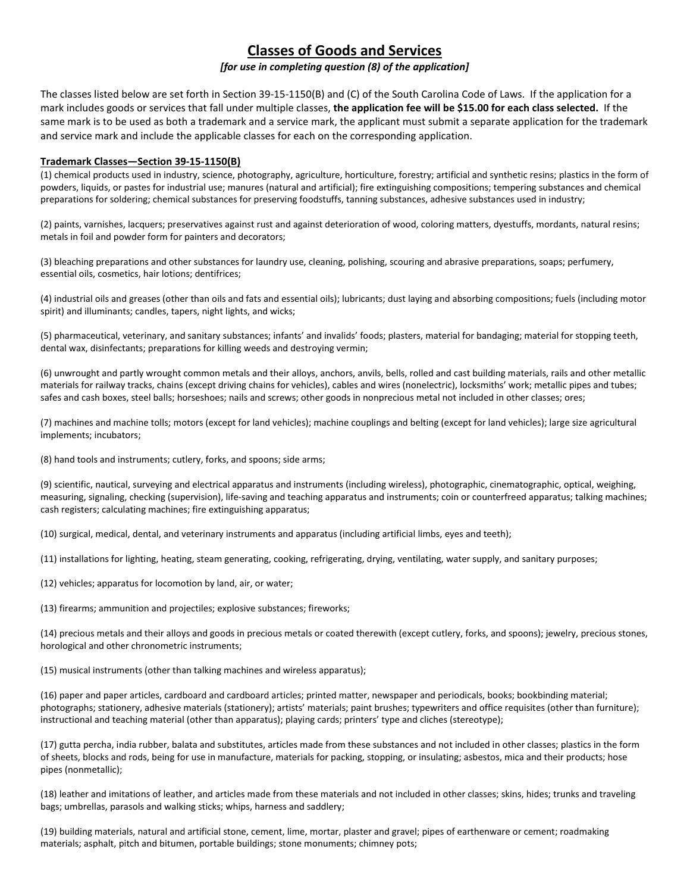# **Classes of Goods and Services**

#### *[for use in completing question (8) of the application]*

The classes listed below are set forth in Section 39-15-1150(B) and (C) of the South Carolina Code of Laws. If the application for a mark includes goods or services that fall under multiple classes, **the application fee will be \$15.00 for each class selected.** If the same mark is to be used as both a trademark and a service mark, the applicant must submit a separate application for the trademark and service mark and include the applicable classes for each on the corresponding application.

#### **Trademark Classes—Section 39-15-1150(B)**

(1) chemical products used in industry, science, photography, agriculture, horticulture, forestry; artificial and synthetic resins; plastics in the form of powders, liquids, or pastes for industrial use; manures (natural and artificial); fire extinguishing compositions; tempering substances and chemical preparations for soldering; chemical substances for preserving foodstuffs, tanning substances, adhesive substances used in industry;

(2) paints, varnishes, lacquers; preservatives against rust and against deterioration of wood, coloring matters, dyestuffs, mordants, natural resins; metals in foil and powder form for painters and decorators;

(3) bleaching preparations and other substances for laundry use, cleaning, polishing, scouring and abrasive preparations, soaps; perfumery, essential oils, cosmetics, hair lotions; dentifrices;

(4) industrial oils and greases (other than oils and fats and essential oils); lubricants; dust laying and absorbing compositions; fuels (including motor spirit) and illuminants; candles, tapers, night lights, and wicks;

(5) pharmaceutical, veterinary, and sanitary substances; infants' and invalids' foods; plasters, material for bandaging; material for stopping teeth, dental wax, disinfectants; preparations for killing weeds and destroying vermin;

(6) unwrought and partly wrought common metals and their alloys, anchors, anvils, bells, rolled and cast building materials, rails and other metallic materials for railway tracks, chains (except driving chains for vehicles), cables and wires (nonelectric), locksmiths' work; metallic pipes and tubes; safes and cash boxes, steel balls; horseshoes; nails and screws; other goods in nonprecious metal not included in other classes; ores;

(7) machines and machine tolls; motors (except for land vehicles); machine couplings and belting (except for land vehicles); large size agricultural implements; incubators;

(8) hand tools and instruments; cutlery, forks, and spoons; side arms;

(9) scientific, nautical, surveying and electrical apparatus and instruments (including wireless), photographic, cinematographic, optical, weighing, measuring, signaling, checking (supervision), life-saving and teaching apparatus and instruments; coin or counterfreed apparatus; talking machines; cash registers; calculating machines; fire extinguishing apparatus;

(10) surgical, medical, dental, and veterinary instruments and apparatus (including artificial limbs, eyes and teeth);

(11) installations for lighting, heating, steam generating, cooking, refrigerating, drying, ventilating, water supply, and sanitary purposes;

(12) vehicles; apparatus for locomotion by land, air, or water;

(13) firearms; ammunition and projectiles; explosive substances; fireworks;

(14) precious metals and their alloys and goods in precious metals or coated therewith (except cutlery, forks, and spoons); jewelry, precious stones, horological and other chronometric instruments;

(15) musical instruments (other than talking machines and wireless apparatus);

(16) paper and paper articles, cardboard and cardboard articles; printed matter, newspaper and periodicals, books; bookbinding material; photographs; stationery, adhesive materials (stationery); artists' materials; paint brushes; typewriters and office requisites (other than furniture); instructional and teaching material (other than apparatus); playing cards; printers' type and cliches (stereotype);

(17) gutta percha, india rubber, balata and substitutes, articles made from these substances and not included in other classes; plastics in the form of sheets, blocks and rods, being for use in manufacture, materials for packing, stopping, or insulating; asbestos, mica and their products; hose pipes (nonmetallic);

(18) leather and imitations of leather, and articles made from these materials and not included in other classes; skins, hides; trunks and traveling bags; umbrellas, parasols and walking sticks; whips, harness and saddlery;

(19) building materials, natural and artificial stone, cement, lime, mortar, plaster and gravel; pipes of earthenware or cement; roadmaking materials; asphalt, pitch and bitumen, portable buildings; stone monuments; chimney pots;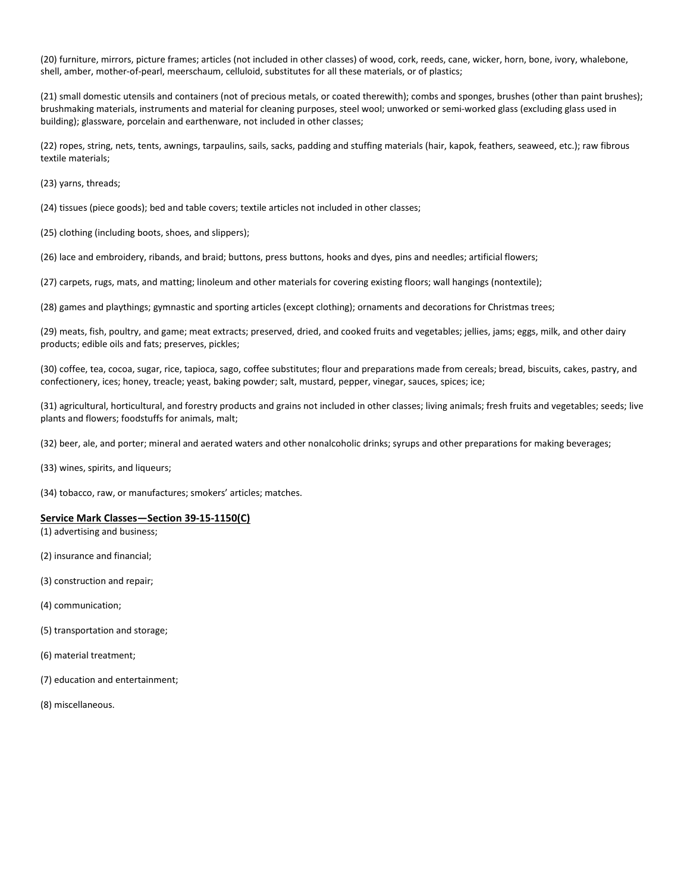(20) furniture, mirrors, picture frames; articles (not included in other classes) of wood, cork, reeds, cane, wicker, horn, bone, ivory, whalebone, shell, amber, mother-of-pearl, meerschaum, celluloid, substitutes for all these materials, or of plastics;

(21) small domestic utensils and containers (not of precious metals, or coated therewith); combs and sponges, brushes (other than paint brushes); brushmaking materials, instruments and material for cleaning purposes, steel wool; unworked or semi-worked glass (excluding glass used in building); glassware, porcelain and earthenware, not included in other classes;

(22) ropes, string, nets, tents, awnings, tarpaulins, sails, sacks, padding and stuffing materials (hair, kapok, feathers, seaweed, etc.); raw fibrous textile materials;

(23) yarns, threads;

(24) tissues (piece goods); bed and table covers; textile articles not included in other classes;

(25) clothing (including boots, shoes, and slippers);

(26) lace and embroidery, ribands, and braid; buttons, press buttons, hooks and dyes, pins and needles; artificial flowers;

(27) carpets, rugs, mats, and matting; linoleum and other materials for covering existing floors; wall hangings (nontextile);

(28) games and playthings; gymnastic and sporting articles (except clothing); ornaments and decorations for Christmas trees;

(29) meats, fish, poultry, and game; meat extracts; preserved, dried, and cooked fruits and vegetables; jellies, jams; eggs, milk, and other dairy products; edible oils and fats; preserves, pickles;

(30) coffee, tea, cocoa, sugar, rice, tapioca, sago, coffee substitutes; flour and preparations made from cereals; bread, biscuits, cakes, pastry, and confectionery, ices; honey, treacle; yeast, baking powder; salt, mustard, pepper, vinegar, sauces, spices; ice;

(31) agricultural, horticultural, and forestry products and grains not included in other classes; living animals; fresh fruits and vegetables; seeds; live plants and flowers; foodstuffs for animals, malt;

(32) beer, ale, and porter; mineral and aerated waters and other nonalcoholic drinks; syrups and other preparations for making beverages;

(33) wines, spirits, and liqueurs;

(34) tobacco, raw, or manufactures; smokers' articles; matches.

#### **Service Mark Classes—Section 39-15-1150(C)**

(1) advertising and business;

(2) insurance and financial;

(3) construction and repair;

(4) communication;

(5) transportation and storage;

(6) material treatment;

(7) education and entertainment;

(8) miscellaneous.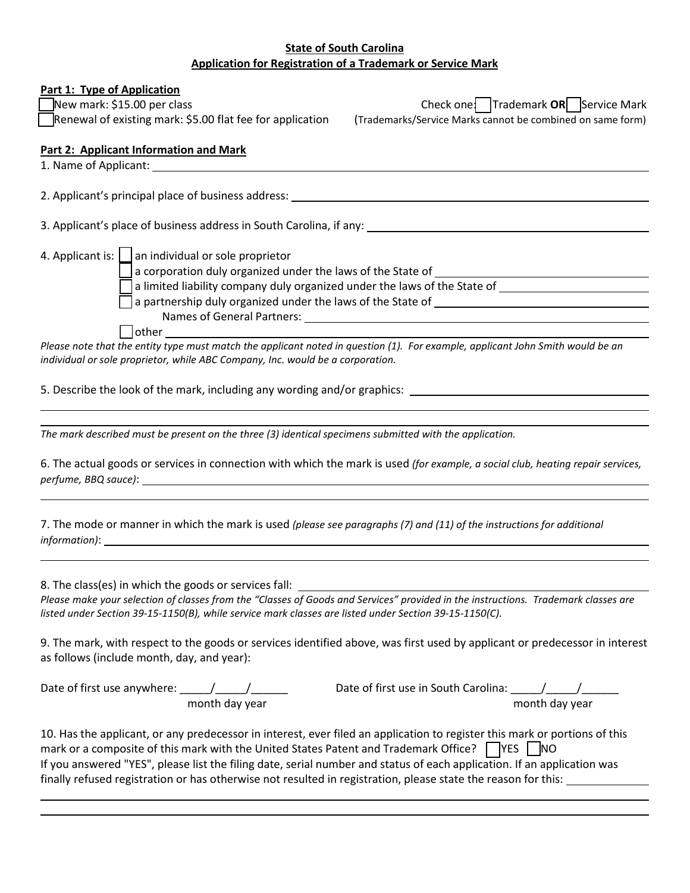## **State of South Carolina Application for Registration of a Trademark or Service Mark**

### **Part 1: Type of Application**

[ ] New mark: \$15.00 per class Check one: [ ] Trademark **OR** [ ] Service Mark [ ] Renewal of existing mark: \$5.00 flat fee for application (Trademarks/Service Marks cannot be combined on same form)

### **Part 2: Applicant Information and Mark**

1. Name of Applicant: 2. Applicant's principal place of business address: 3. Applicant's place of business address in South Carolina, if any: 4. Applicant is: | | an individual or sole proprietor a corporation duly organized under the laws of the State of  $\Box$ a limited liability company duly organized under the laws of the State of  $\Box$  a partnership duly organized under the laws of the State of Names of General Partners:

[ ] other

*Please note that the entity type must match the applicant noted in question (1). For example, applicant John Smith would be an individual or sole proprietor, while ABC Company, Inc. would be a corporation.*

5. Describe the look of the mark, including any wording and/or graphics:

*The mark described must be present on the three (3) identical specimens submitted with the application.*

6. The actual goods or services in connection with which the mark is used *(for example, a social club, heating repair services, perfume, BBQ sauce)*:

7. The mode or manner in which the mark is used *(please see paragraphs (7) and (11) of the instructions for additional information)*:

8. The class(es) in which the goods or services fall:

*Please make your selection of classes from the "Classes of Goods and Services" provided in the instructions. Trademark classes are listed under Section 39-15-1150(B), while service mark classes are listed under Section 39-15-1150(C).*

9. The mark, with respect to the goods or services identified above, was first used by applicant or predecessor in interest as follows (include month, day, and year):

Date of first use anywhere:  $\underbrace{\hspace{1cm}}$   $\underbrace{\hspace{1cm}}$   $\underbrace{\hspace{1cm}}$   $\underbrace{\hspace{1cm}}$  month day year

month day year month day year

10. Has the applicant, or any predecessor in interest, ever filed an application to register this mark or portions of this mark or a composite of this mark with the United States Patent and Trademark Office? **NATEL AND** If you answered "YES", please list the filing date, serial number and status of each application. If an application was finally refused registration or has otherwise not resulted in registration, please state the reason for this: